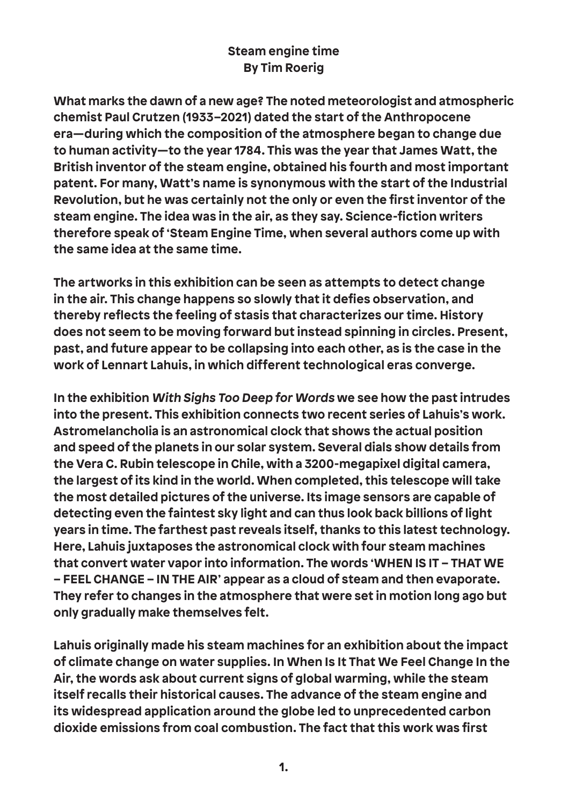## **Steam engine time By Tim Roerig**

**What marks the dawn of a new age? The noted meteorologist and atmospheric chemist Paul Crutzen (1933–2021) dated the start of the Anthropocene era—during which the composition of the atmosphere began to change due to human activity—to the year 1784. This was the year that James Watt, the British inventor of the steam engine, obtained his fourth and most important patent. For many, Watt's name is synonymous with the start of the Industrial Revolution, but he was certainly not the only or even the first inventor of the steam engine. The idea was in the air, as they say. Science-fiction writers therefore speak of 'Steam Engine Time, when several authors come up with the same idea at the same time.**

**The artworks in this exhibition can be seen as attempts to detect change in the air. This change happens so slowly that it defies observation, and thereby reflects the feeling of stasis that characterizes our time. History does not seem to be moving forward but instead spinning in circles. Present, past, and future appear to be collapsing into each other, as is the case in the work of Lennart Lahuis, in which different technological eras converge.**

**In the exhibition With Sighs Too Deep for Words we see how the past intrudes into the present. This exhibition connects two recent series of Lahuis's work. Astromelancholia is an astronomical clock that shows the actual position and speed of the planets in our solar system. Several dials show details from the Vera C. Rubin telescope in Chile, with a 3200-megapixel digital camera, the largest of its kind in the world. When completed, this telescope will take the most detailed pictures of the universe. Its image sensors are capable of detecting even the faintest sky light and can thus look back billions of light years in time. The farthest past reveals itself, thanks to this latest technology. Here, Lahuis juxtaposes the astronomical clock with four steam machines that convert water vapor into information. The words 'WHEN IS IT – THAT WE – FEEL CHANGE – IN THE AIR' appear as a cloud of steam and then evaporate. They refer to changes in the atmosphere that were set in motion long ago but only gradually make themselves felt.**

**Lahuis originally made his steam machines for an exhibition about the impact of climate change on water supplies. In When Is It That We Feel Change In the Air, the words ask about current signs of global warming, while the steam itself recalls their historical causes. The advance of the steam engine and its widespread application around the globe led to unprecedented carbon dioxide emissions from coal combustion. The fact that this work was first**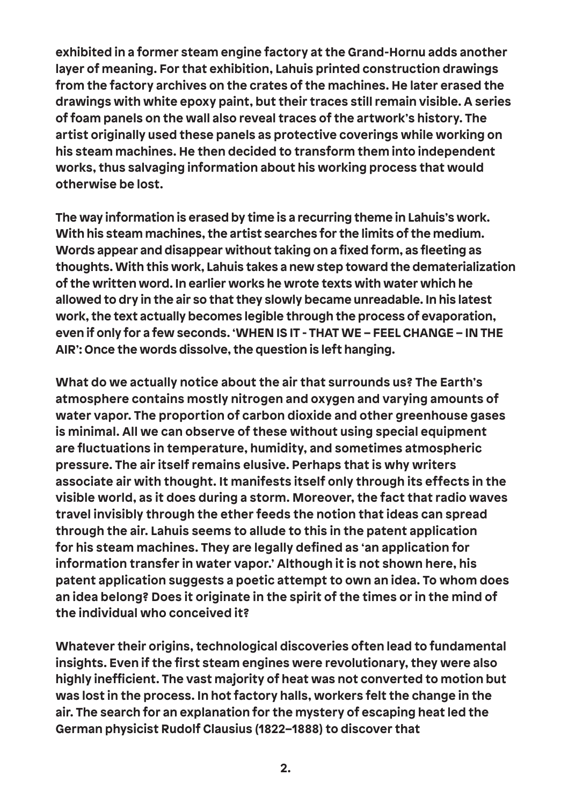**exhibited in a former steam engine factory at the Grand-Hornu adds another layer of meaning. For that exhibition, Lahuis printed construction drawings from the factory archives on the crates of the machines. He later erased the drawings with white epoxy paint, but their traces still remain visible. A series of foam panels on the wall also reveal traces of the artwork's history. The artist originally used these panels as protective coverings while working on his steam machines. He then decided to transform them into independent works, thus salvaging information about his working process that would otherwise be lost.**

**The way information is erased by time is a recurring theme in Lahuis's work. With his steam machines, the artist searches for the limits of the medium. Words appear and disappear without taking on a fixed form, as fleeting as thoughts. With this work, Lahuis takes a new step toward the dematerialization of the written word. In earlier works he wrote texts with water which he allowed to dry in the air so that they slowly became unreadable. In his latest work, the text actually becomes legible through the process of evaporation, even if only for a few seconds. 'WHEN IS IT - THAT WE – FEEL CHANGE – IN THE AIR': Once the words dissolve, the question is left hanging.**

**What do we actually notice about the air that surrounds us? The Earth's atmosphere contains mostly nitrogen and oxygen and varying amounts of water vapor. The proportion of carbon dioxide and other greenhouse gases is minimal. All we can observe of these without using special equipment are fluctuations in temperature, humidity, and sometimes atmospheric pressure. The air itself remains elusive. Perhaps that is why writers associate air with thought. It manifests itself only through its effects in the visible world, as it does during a storm. Moreover, the fact that radio waves travel invisibly through the ether feeds the notion that ideas can spread through the air. Lahuis seems to allude to this in the patent application for his steam machines. They are legally defined as 'an application for information transfer in water vapor.' Although it is not shown here, his patent application suggests a poetic attempt to own an idea. To whom does an idea belong? Does it originate in the spirit of the times or in the mind of the individual who conceived it?**

**Whatever their origins, technological discoveries often lead to fundamental insights. Even if the first steam engines were revolutionary, they were also highly inefficient. The vast majority of heat was not converted to motion but was lost in the process. In hot factory halls, workers felt the change in the air. The search for an explanation for the mystery of escaping heat led the German physicist Rudolf Clausius (1822–1888) to discover that**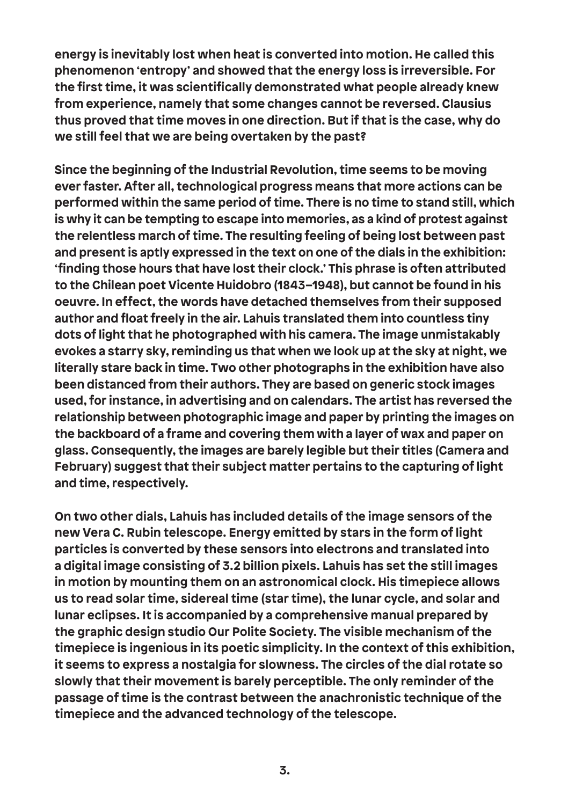**energy is inevitably lost when heat is converted into motion. He called this phenomenon 'entropy' and showed that the energy loss is irreversible. For the first time, it was scientifically demonstrated what people already knew from experience, namely that some changes cannot be reversed. Clausius thus proved that time moves in one direction. But if that is the case, why do we still feel that we are being overtaken by the past?**

**Since the beginning of the Industrial Revolution, time seems to be moving ever faster. After all, technological progress means that more actions can be performed within the same period of time. There is no time to stand still, which is why it can be tempting to escape into memories, as a kind of protest against the relentless march of time. The resulting feeling of being lost between past and present is aptly expressed in the text on one of the dials in the exhibition: 'finding those hours that have lost their clock.' This phrase is often attributed to the Chilean poet Vicente Huidobro (1843–1948), but cannot be found in his oeuvre. In effect, the words have detached themselves from their supposed author and float freely in the air. Lahuis translated them into countless tiny dots of light that he photographed with his camera. The image unmistakably evokes a starry sky, reminding us that when we look up at the sky at night, we literally stare back in time. Two other photographs in the exhibition have also been distanced from their authors. They are based on generic stock images used, for instance, in advertising and on calendars. The artist has reversed the relationship between photographic image and paper by printing the images on the backboard of a frame and covering them with a layer of wax and paper on glass. Consequently, the images are barely legible but their titles (Camera and February) suggest that their subject matter pertains to the capturing of light and time, respectively.**

**On two other dials, Lahuis has included details of the image sensors of the new Vera C. Rubin telescope. Energy emitted by stars in the form of light particles is converted by these sensors into electrons and translated into a digital image consisting of 3.2 billion pixels. Lahuis has set the still images in motion by mounting them on an astronomical clock. His timepiece allows us to read solar time, sidereal time (star time), the lunar cycle, and solar and lunar eclipses. It is accompanied by a comprehensive manual prepared by the graphic design studio Our Polite Society. The visible mechanism of the timepiece is ingenious in its poetic simplicity. In the context of this exhibition, it seems to express a nostalgia for slowness. The circles of the dial rotate so slowly that their movement is barely perceptible. The only reminder of the passage of time is the contrast between the anachronistic technique of the timepiece and the advanced technology of the telescope.**